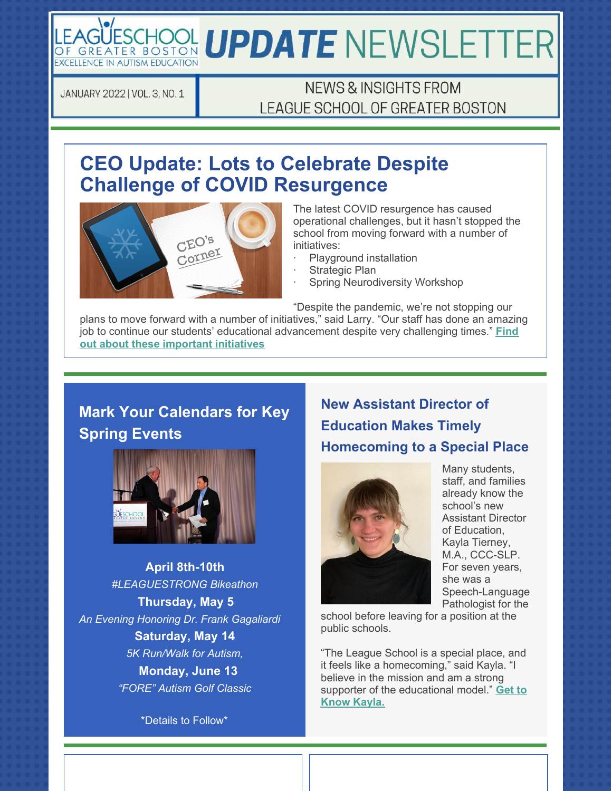# LEAGUESCHOOL UPDATE NEWSLETTER **EXCELLENCE IN AUTISM EDUCATION**

JANUARY 2022 | VOL. 3, NO. 1

**NEWS & INSIGHTS FROM** LEAGUE SCHOOL OF GREATER BOSTON

## **CEO Update: Lots to Celebrate Despite Challenge of COVID Resurgence**



The latest COVID resurgence has caused operational challenges, but it hasn't stopped the school from moving forward with a number of initiatives:

- Playground installation
- Strategic Plan
- Spring Neurodiversity Workshop

"Despite the pandemic, we're not stopping our

plans to move forward with a number of initiatives," said Larry. "Our staff has done an amazing job to continue our students' educational advancement despite very challenging times." **Find out about these important initiatives**

### **Mark Your Calendars for Key Spring Events**



**April 8th-10th** *#LEAGUESTRONG Bikeathon* **Thursday, May 5** *An Evening Honoring Dr. Frank Gagaliardi* **Saturday, May 14** *5K Run/Walk for Autism,* **Monday, June 13** *"FORE" Autism Golf Classic*

\*Details to Follow\*

#### **New Assistant Director of Education Makes Timely Homecoming to a Special Place**



Many students, staff, and families already know the school's new Assistant Director of Education, Kayla Tierney, M.A., CCC-SLP. For seven years, she was a Speech-Language Pathologist for the

school before leaving for a position at the public schools.

"The League School is a special place, and it feels like a homecoming," said Kayla. "I believe in the mission and am a strong supporter of the educational model." **Get to Know Kayla.**